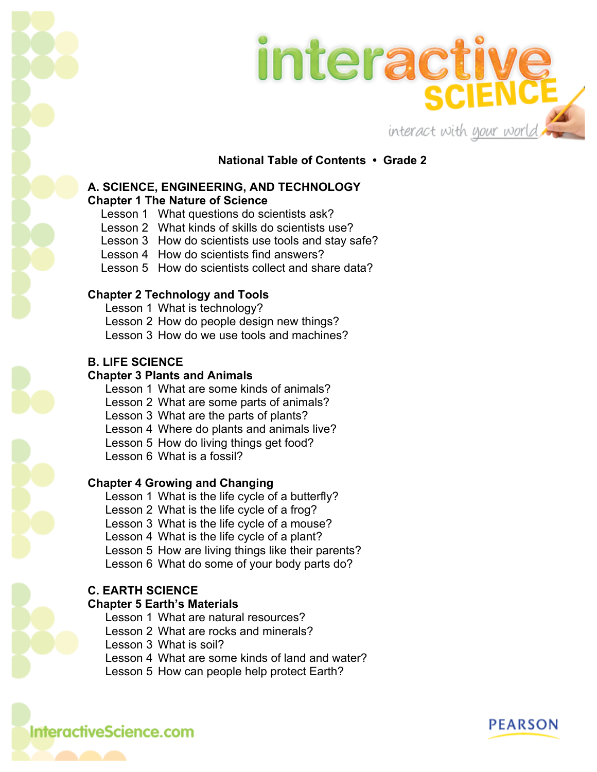



**National Table of Contents • Grade 2**

#### **A. SCIENCE, ENGINEERING, AND TECHNOLOGY Chapter 1 The Nature of Science**

- Lesson 1 What questions do scientists ask?
- Lesson 2 What kinds of skills do scientists use?
- Lesson 3 How do scientists use tools and stay safe?
- Lesson 4 How do scientists find answers?
- Lesson 5 How do scientists collect and share data?

# **Chapter 2 Technology and Tools**

Lesson 1 What is technology? Lesson 2 How do people design new things? Lesson 3 How do we use tools and machines?

## **B. LIFE SCIENCE**

## **Chapter 3 Plants and Animals**

Lesson 1 What are some kinds of animals? Lesson 2 What are some parts of animals? Lesson 3 What are the parts of plants? Lesson 4 Where do plants and animals live? Lesson 5 How do living things get food? Lesson 6 What is a fossil?

# **Chapter 4 Growing and Changing**

Lesson 1 What is the life cycle of a butterfly? Lesson 2 What is the life cycle of a frog? Lesson 3 What is the life cycle of a mouse? Lesson 4 What is the life cycle of a plant? Lesson 5 How are living things like their parents? Lesson 6 What do some of your body parts do?

# **C. EARTH SCIENCE**

#### **Chapter 5 Earth's Materials**

Lesson 1 What are natural resources? Lesson 2 What are rocks and minerals? Lesson 3 What is soil? Lesson 4 What are some kinds of land and water? Lesson 5 How can people help protect Earth?

# **InteractiveScience.com**

**PEARSON**